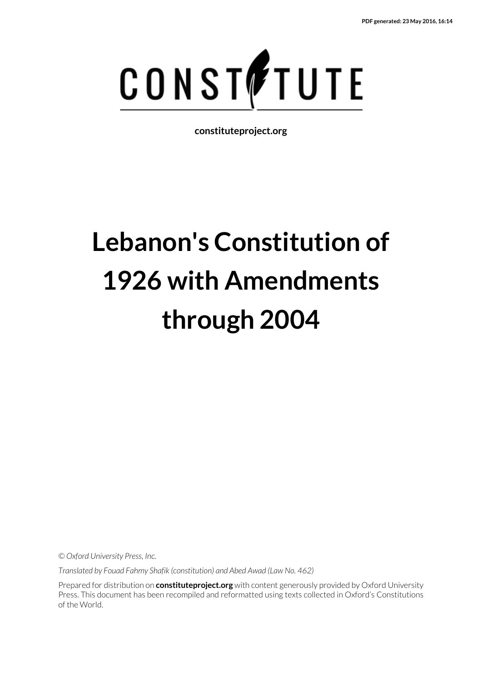

**constituteproject.org**

# **Lebanon's Constitution of 1926 with Amendments through 2004**

*© Oxford University Press, Inc.*

*Translated by Fouad Fahmy Shafik (constitution) and Abed Awad (Law No. 462)*

Prepared for distribution on **constituteproject.org** with content generously provided by Oxford University Press. This document has been recompiled and reformatted using texts collected in Oxford's Constitutions of the World.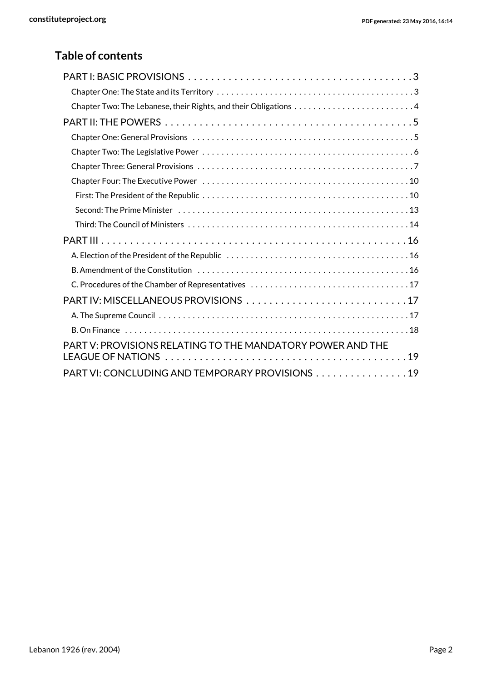### **Table of contents**

| PART V: PROVISIONS RELATING TO THE MANDATORY POWER AND THE |  |  |
|------------------------------------------------------------|--|--|
| PART VI: CONCLUDING AND TEMPORARY PROVISIONS 19            |  |  |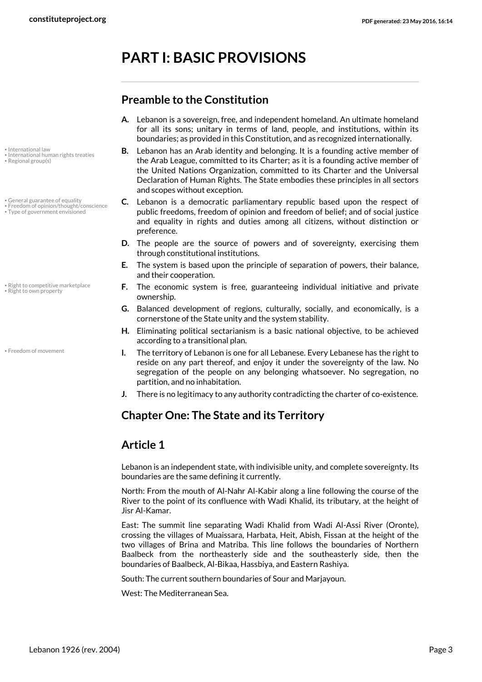# <span id="page-2-0"></span>**PART I: BASIC PROVISIONS**

### **Preamble to the Constitution**

- **A.** Lebanon is a sovereign, free, and independent homeland. An ultimate homeland for all its sons; unitary in terms of land, people, and institutions, within its boundaries; as provided in this Constitution, and as recognized internationally.
- <span id="page-2-5"></span>**B.** Lebanon has an Arab identity and belonging. It is a founding active member of the Arab League, committed to its Charter; as it is a founding active member of the United Nations Organization, committed to its Charter and the Universal Declaration of Human Rights. The State embodies these principles in all sectors and scopes without exception.
- <span id="page-2-10"></span><span id="page-2-4"></span><span id="page-2-3"></span>**C.** Lebanon is a democratic parliamentary republic based upon the respect of public freedoms, freedom of opinion and freedom of belief; and of social justice and equality in rights and duties among all citizens, without distinction or preference.
- **D.** The people are the source of powers and of sovereignty, exercising them through constitutional institutions.
- **E.** The system is based upon the principle of separation of powers, their balance, and their cooperation.
- <span id="page-2-8"></span>**F.** The economic system is free, guaranteeing individual initiative and private ownership.
- **G.** Balanced development of regions, culturally, socially, and economically, is a cornerstone of the State unity and the system stability.
- **H.** Eliminating political sectarianism is a basic national objective, to be achieved according to a transitional plan.
- <span id="page-2-2"></span>**I.** The territory of Lebanon is one for all Lebanese. Every Lebanese has the right to reside on any part thereof, and enjoy it under the sovereignty of the law. No segregation of the people on any belonging whatsoever. No segregation, no partition, and no inhabitation.
- **J.** There is no legitimacy to any authority contradicting the charter of co-existence.

### <span id="page-2-1"></span>**Chapter One: The State and its Territory**

### **Article 1**

Lebanon is an independent state, with indivisible unity, and complete sovereignty. Its boundaries are the same defining it currently.

North: From the mouth of Al-Nahr Al-Kabir along a line following the course of the River to the point of its confluence with Wadi Khalid, its tributary, at the height of Jisr Al-Kamar.

East: The summit line separating Wadi Khalid from Wadi Al-Assi River (Oronte), crossing the villages of Muaissara, Harbata, Heit, Abish, Fissan at the height of the two villages of Brina and Matriba. This line follows the boundaries of Northern Baalbeck from the northeasterly side and the southeasterly side, then the boundaries of Baalbeck, Al-Bikaa, Hassbiya, and Eastern Rashiya.

South: The current southern boundaries of Sour and Marjayoun.

West: The Mediterranean Sea.

• International law

- <span id="page-2-7"></span><span id="page-2-6"></span>• International human rights treaties
- Regional group(s)
- General guarantee of equality • Freedom of opinion/thought/conscience • Type of government envisioned

<span id="page-2-9"></span>• Right to competitive marketplace • Right to own property

• Freedom of movement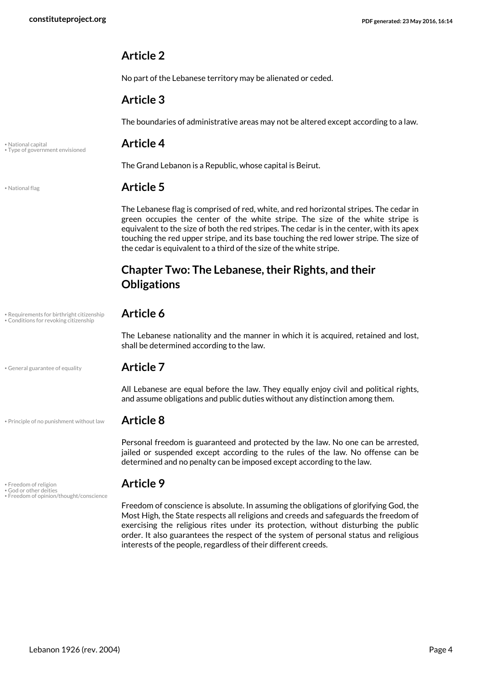No part of the Lebanese territory may be alienated or ceded.

### **Article 3**

The boundaries of administrative areas may not be altered except according to a law.

# <span id="page-3-6"></span>• National capital **Article 4** • Type of government envisioned

<span id="page-3-10"></span>The Grand Lebanon is a Republic, whose capital is Beirut.

### <span id="page-3-7"></span>• National flag **Article 5**

The Lebanese flag is comprised of red, white, and red horizontal stripes. The cedar in green occupies the center of the white stripe. The size of the white stripe is equivalent to the size of both the red stripes. The cedar is in the center, with its apex touching the red upper stripe, and its base touching the red lower stripe. The size of the cedar is equivalent to a third of the size of the white stripe.

### <span id="page-3-0"></span>**Chapter Two: The Lebanese, their Rights, and their Obligations**

# • Requirements for birthright citizenship **Article 6** • Conditions for revoking citizenship

<span id="page-3-9"></span><span id="page-3-1"></span>The Lebanese nationality and the manner in which it is acquired, retained and lost, shall be determined according to the law.

• General guarantee of equality **Article 7**

<span id="page-3-4"></span>

All Lebanese are equal before the law. They equally enjoy civil and political rights, and assume obligations and public duties without any distinction among them.

### • Principle of no punishment without law **Article 8**

<span id="page-3-8"></span>Personal freedom is guaranteed and protected by the law. No one can be arrested, jailed or suspended except according to the rules of the law. No offense can be determined and no penalty can be imposed except according to the law.

<span id="page-3-2"></span>Freedom of conscience is absolute. In assuming the obligations of glorifying God, the Most High, the State respects all religions and creeds and safeguards the freedom of exercising the religious rites under its protection, without disturbing the public order. It also guarantees the respect of the system of personal status and religious interests of the people, regardless of their different creeds.

<span id="page-3-5"></span><span id="page-3-3"></span>

• Freedom of religion **Article 9** • God or other deities • Freedom of opinion/thought/conscience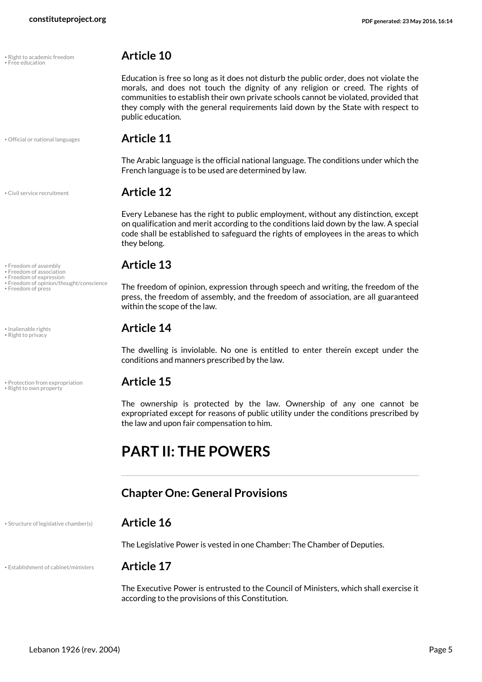<span id="page-4-4"></span>

| • Right to academic freedom |
|-----------------------------|
|                             |
| • Free education            |

• Official or national languages **Article 11**

public education.

<span id="page-4-13"></span>**Article 10** 

<span id="page-4-11"></span>The Arabic language is the official national language. The conditions under which the French language is to be used are determined by law.

Education is free so long as it does not disturb the public order, does not violate the morals, and does not touch the dignity of any religion or creed. The rights of communities to establish their own private schools cannot be violated, provided that they comply with the general requirements laid down by the State with respect to

### • Civil service recruitment **Article 12**

<span id="page-4-2"></span>Every Lebanese has the right to public employment, without any distinction, except on qualification and merit according to the conditions laid down by the law. A special code shall be established to safeguard the rights of employees in the areas to which they belong.

# <span id="page-4-5"></span>• Freedom of assembly **Article 13** • Freedom of association

<span id="page-4-8"></span><span id="page-4-7"></span><span id="page-4-6"></span>The freedom of opinion, expression through speech and writing, the freedom of the press, the freedom of assembly, and the freedom of association, are all guaranteed within the scope of the law.

# • Inalienable rights **Article 14** • Right to privacy

The dwelling is inviolable. No one is entitled to enter therein except under the conditions and manners prescribed by the law.

<span id="page-4-12"></span>The ownership is protected by the law. Ownership of any one cannot be expropriated except for reasons of public utility under the conditions prescribed by the law and upon fair compensation to him.

# <span id="page-4-0"></span>**PART II: THE POWERS**

### <span id="page-4-1"></span>**Chapter One: General Provisions**

• Structure of legislative chamber(s) **Article 16**

<span id="page-4-16"></span>The Legislative Power is vested in one Chamber: The Chamber of Deputies.

### • Establishment of cabinet/ministers **Article 17**

<span id="page-4-3"></span>The Executive Power is entrusted to the Council of Ministers, which shall exercise it according to the provisions of this Constitution.

<span id="page-4-15"></span><span id="page-4-10"></span>

• Freedom of expression

<span id="page-4-9"></span>• Freedom of opinion/thought/conscience<br>• Freedom of press

<span id="page-4-14"></span>• Protection from expropriation **Article 15** • Right to own property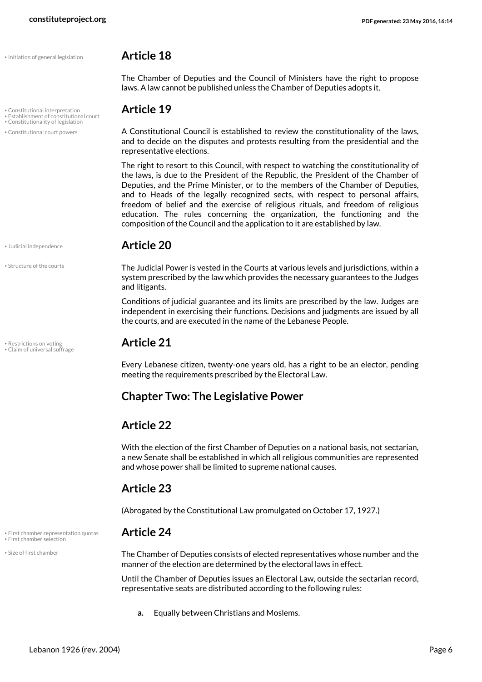• Constitutional interpretation **Article 19** • Establishment of constitutional court

- Constitutionality of legislation
- Constitutional court powers

• Structure of the courts

<span id="page-5-8"></span>The Chamber of Deputies and the Council of Ministers have the right to propose laws. A law cannot be published unless the Chamber of Deputies adopts it.

<span id="page-5-5"></span><span id="page-5-4"></span><span id="page-5-3"></span><span id="page-5-2"></span>A Constitutional Council is established to review the constitutionality of the laws, and to decide on the disputes and protests resulting from the presidential and the representative elections.

The right to resort to this Council, with respect to watching the constitutionality of the laws, is due to the President of the Republic, the President of the Chamber of Deputies, and the Prime Minister, or to the members of the Chamber of Deputies, and to Heads of the legally recognized sects, with respect to personal affairs, freedom of belief and the exercise of religious rituals, and freedom of religious education. The rules concerning the organization, the functioning and the composition of the Council and the application to it are established by law.

### <span id="page-5-9"></span>• Judicial independence **Article 20**

<span id="page-5-12"></span>The Judicial Power is vested in the Courts at various levels and jurisdictions, within a system prescribed by the law which provides the necessary guarantees to the Judges and litigants.

Conditions of judicial guarantee and its limits are prescribed by the law. Judges are independent in exercising their functions. Decisions and judgments are issued by all the courts, and are executed in the name of the Lebanese People.

# <span id="page-5-10"></span>• Restrictions on voting **Article 21** • Claim of universal suffrage

<span id="page-5-1"></span>Every Lebanese citizen, twenty-one years old, has a right to be an elector, pending meeting the requirements prescribed by the Electoral Law.

### <span id="page-5-0"></span>**Chapter Two: The Legislative Power**

### **Article 22**

With the election of the first Chamber of Deputies on a national basis, not sectarian, a new Senate shall be established in which all religious communities are represented and whose power shall be limited to supreme national causes.

### **Article 23**

(Abrogated by the Constitutional Law promulgated on October 17, 1927.)

• First chamber representation quotas **Article 24** • First chamber selection

<span id="page-5-11"></span>• Size of first chamber

<span id="page-5-7"></span><span id="page-5-6"></span>The Chamber of Deputies consists of elected representatives whose number and the manner of the election are determined by the electoral laws in effect.

Until the Chamber of Deputies issues an Electoral Law, outside the sectarian record, representative seats are distributed according to the following rules:

**a.** Equally between Christians and Moslems.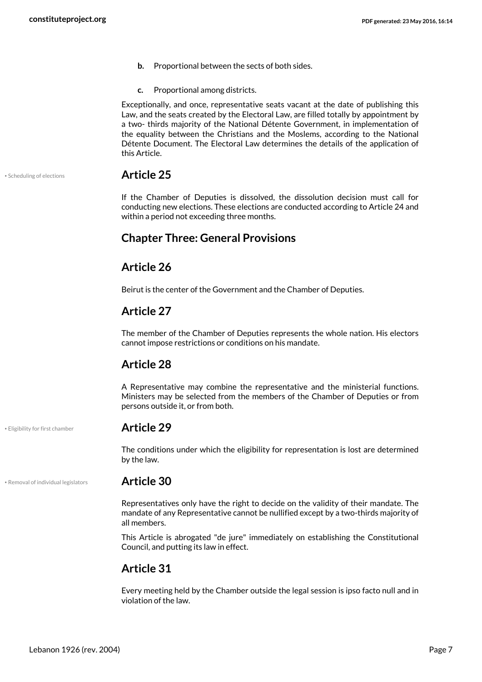- **b.** Proportional between the sects of both sides.
- **c.** Proportional among districts.

Exceptionally, and once, representative seats vacant at the date of publishing this Law, and the seats created by the Electoral Law, are filled totally by appointment by a two- thirds majority of the National Détente Government, in implementation of the equality between the Christians and the Moslems, according to the National Détente Document. The Electoral Law determines the details of the application of this Article.

• Scheduling of elections **Article 25**

<span id="page-6-3"></span>If the Chamber of Deputies is dissolved, the dissolution decision must call for conducting new elections. These elections are conducted according to Article 24 and within a period not exceeding three months.

### <span id="page-6-0"></span>**Chapter Three: General Provisions**

### **Article 26**

Beirut is the center of the Government and the Chamber of Deputies.

### **Article 27**

The member of the Chamber of Deputies represents the whole nation. His electors cannot impose restrictions or conditions on his mandate.

### **Article 28**

A Representative may combine the representative and the ministerial functions. Ministers may be selected from the members of the Chamber of Deputies or from persons outside it, or from both.

• Eligibility for first chamber **Article 29**

<span id="page-6-1"></span>The conditions under which the eligibility for representation is lost are determined by the law.

• Removal of individual legislators **Article 30**

<span id="page-6-2"></span>Representatives only have the right to decide on the validity of their mandate. The mandate of any Representative cannot be nullified except by a two-thirds majority of all members.

This Article is abrogated "de jure" immediately on establishing the Constitutional Council, and putting its law in effect.

### **Article 31**

Every meeting held by the Chamber outside the legal session is ipso facto null and in violation of the law.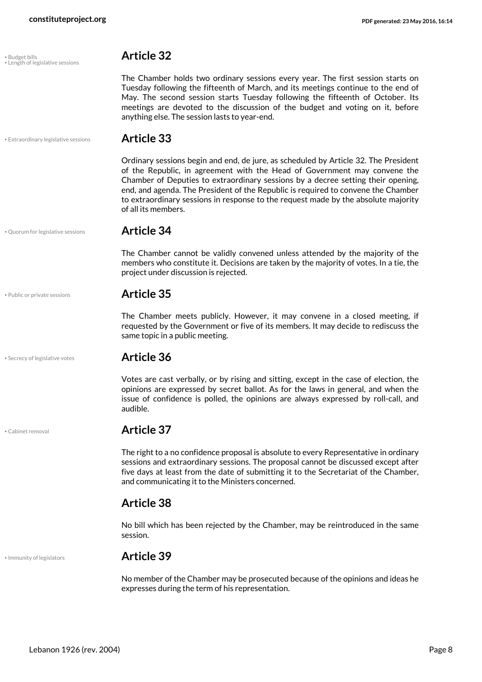<span id="page-7-0"></span>

| Budget bills •                 |
|--------------------------------|
| Length of legislative sessions |

<span id="page-7-4"></span>The Chamber holds two ordinary sessions every year. The first session starts on Tuesday following the fifteenth of March, and its meetings continue to the end of May. The second session starts Tuesday following the fifteenth of October. Its meetings are devoted to the discussion of the budget and voting on it, before anything else. The session lasts to year-end.

• Extraordinary legislative sessions **Article 33**

<span id="page-7-2"></span>Ordinary sessions begin and end, de jure, as scheduled by Article 32. The President of the Republic, in agreement with the Head of Government may convene the Chamber of Deputies to extraordinary sessions by a decree setting their opening, end, and agenda. The President of the Republic is required to convene the Chamber to extraordinary sessions in response to the request made by the absolute majority of all its members.

• Quorum for legislative sessions **Article 34**

<span id="page-7-6"></span>The Chamber cannot be validly convened unless attended by the majority of the members who constitute it. Decisions are taken by the majority of votes. In a tie, the project under discussion is rejected.

### • Public or private sessions **Article 35**

<span id="page-7-5"></span>The Chamber meets publicly. However, it may convene in a closed meeting, if requested by the Government or five of its members. It may decide to rediscuss the same topic in a public meeting.

### • Secrecy of legislative votes **Article 36**

<span id="page-7-7"></span>Votes are cast verbally, or by rising and sitting, except in the case of election, the opinions are expressed by secret ballot. As for the laws in general, and when the issue of confidence is polled, the opinions are always expressed by roll-call, and audible.

### <span id="page-7-1"></span>• Cabinet removal **Article 37**

The right to a no confidence proposal is absolute to every Representative in ordinary sessions and extraordinary sessions. The proposal cannot be discussed except after five days at least from the date of submitting it to the Secretariat of the Chamber, and communicating it to the Ministers concerned.

### **Article 38**

No bill which has been rejected by the Chamber, may be reintroduced in the same session.

<span id="page-7-3"></span>

### • Immunity of legislators **Article 39**

No member of the Chamber may be prosecuted because of the opinions and ideas he expresses during the term of his representation.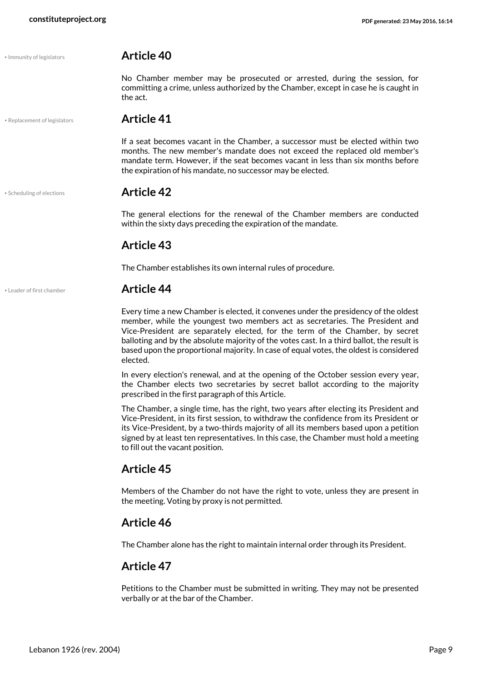<span id="page-8-0"></span>

### • Immunity of legislators **Article 40**

No Chamber member may be prosecuted or arrested, during the session, for committing a crime, unless authorized by the Chamber, except in case he is caught in the act.

• Replacement of legislators **Article 41**

<span id="page-8-2"></span>If a seat becomes vacant in the Chamber, a successor must be elected within two months. The new member's mandate does not exceed the replaced old member's mandate term. However, if the seat becomes vacant in less than six months before the expiration of his mandate, no successor may be elected.

<span id="page-8-3"></span>

### • Scheduling of elections **Article 42**

The general elections for the renewal of the Chamber members are conducted within the sixty days preceding the expiration of the mandate.

### **Article 43**

The Chamber establishes its own internal rules of procedure.

<span id="page-8-1"></span>

### • Leader of first chamber **Article 44**

Every time a new Chamber is elected, it convenes under the presidency of the oldest member, while the youngest two members act as secretaries. The President and Vice-President are separately elected, for the term of the Chamber, by secret balloting and by the absolute majority of the votes cast. In a third ballot, the result is based upon the proportional majority. In case of equal votes, the oldest is considered elected.

In every election's renewal, and at the opening of the October session every year, the Chamber elects two secretaries by secret ballot according to the majority prescribed in the first paragraph of this Article.

The Chamber, a single time, has the right, two years after electing its President and Vice-President, in its first session, to withdraw the confidence from its President or its Vice-President, by a two-thirds majority of all its members based upon a petition signed by at least ten representatives. In this case, the Chamber must hold a meeting to fill out the vacant position.

### **Article 45**

Members of the Chamber do not have the right to vote, unless they are present in the meeting. Voting by proxy is not permitted.

### **Article 46**

The Chamber alone has the right to maintain internal order through its President.

### **Article 47**

Petitions to the Chamber must be submitted in writing. They may not be presented verbally or at the bar of the Chamber.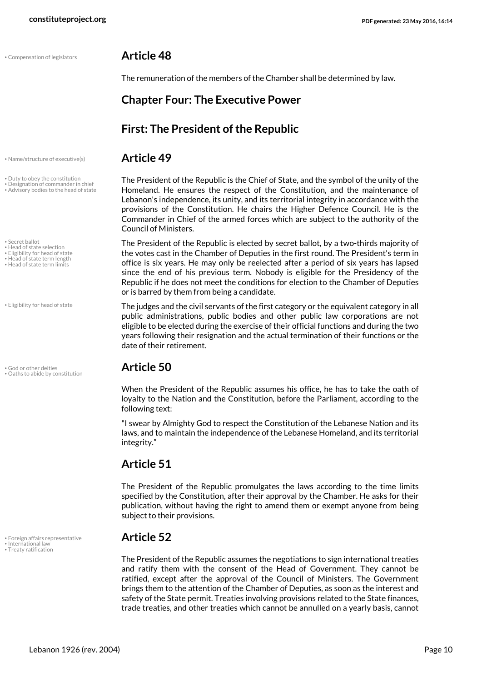• Compensation of legislators **Article 48**

<span id="page-9-3"></span>The remuneration of the members of the Chamber shall be determined by law.

### <span id="page-9-0"></span>**Chapter Four: The Executive Power**

### <span id="page-9-1"></span>**First: The President of the Republic**

### • Name/structure of executive(s) **Article 49**

• Duty to obey the constitution

• Designation of commander in chief • Advisory bodies to the head of state

<span id="page-9-15"></span>• Secret ballot

• Head of state selection

• Eligibility for head of state • Head of state term length

• Head of state term limits

• Eligibility for head of state

<span id="page-9-8"></span>• God or other deities **Article 50** • Oaths to abide by constitution

<span id="page-9-16"></span><span id="page-9-12"></span>• Foreign affairs representative **Article 52** • International law • Treaty ratification

<span id="page-9-13"></span><span id="page-9-5"></span><span id="page-9-4"></span><span id="page-9-2"></span>The President of the Republic is the Chief of State, and the symbol of the unity of the Homeland. He ensures the respect of the Constitution, and the maintenance of Lebanon's independence, its unity, and its territorial integrity in accordance with the provisions of the Constitution. He chairs the Higher Defence Council. He is the Commander in Chief of the armed forces which are subject to the authority of the Council of Ministers.

<span id="page-9-11"></span><span id="page-9-10"></span><span id="page-9-9"></span>The President of the Republic is elected by secret ballot, by a two-thirds majority of the votes cast in the Chamber of Deputies in the first round. The President's term in office is six years. He may only be reelected after a period of six years has lapsed since the end of his previous term. Nobody is eligible for the Presidency of the Republic if he does not meet the conditions for election to the Chamber of Deputies or is barred by them from being a candidate.

<span id="page-9-6"></span>The judges and the civil servants of the first category or the equivalent category in all public administrations, public bodies and other public law corporations are not eligible to be elected during the exercise of their official functions and during the two years following their resignation and the actual termination of their functions or the date of their retirement.

<span id="page-9-14"></span>When the President of the Republic assumes his office, he has to take the oath of loyalty to the Nation and the Constitution, before the Parliament, according to the following text:

"I swear by Almighty God to respect the Constitution of the Lebanese Nation and its laws, and to maintain the independence of the Lebanese Homeland, and its territorial integrity."

### **Article 51**

The President of the Republic promulgates the laws according to the time limits specified by the Constitution, after their approval by the Chamber. He asks for their publication, without having the right to amend them or exempt anyone from being subject to their provisions.

<span id="page-9-7"></span>The President of the Republic assumes the negotiations to sign international treaties and ratify them with the consent of the Head of Government. They cannot be ratified, except after the approval of the Council of Ministers. The Government brings them to the attention of the Chamber of Deputies, as soon as the interest and safety of the State permit. Treaties involving provisions related to the State finances, trade treaties, and other treaties which cannot be annulled on a yearly basis, cannot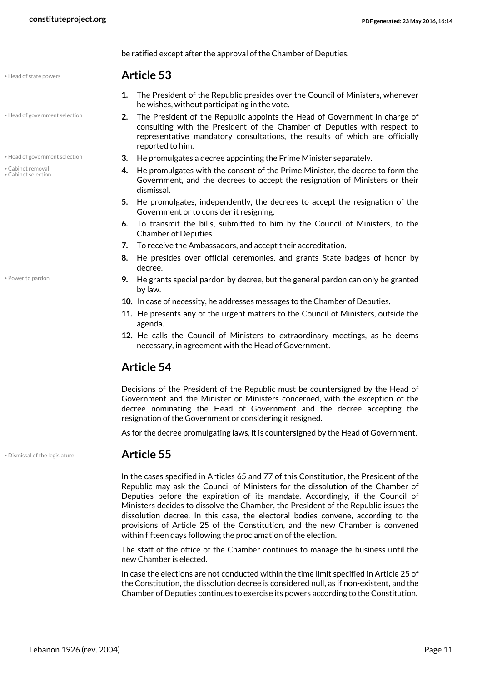• Head of government selection

- 
- <span id="page-10-1"></span><span id="page-10-0"></span>• Cabinet removal • Cabinet selection

<span id="page-10-5"></span>• Power to pardon

<span id="page-10-4"></span>

be ratified except after the approval of the Chamber of Deputies.

### • Head of state powers **Article 53**

- **1.** The President of the Republic presides over the Council of Ministers, whenever he wishes, without participating in the vote.
- <span id="page-10-3"></span>**2.** The President of the Republic appoints the Head of Government in charge of consulting with the President of the Chamber of Deputies with respect to representative mandatory consultations, the results of which are officially reported to him.
- Head of government selection **3.** He promulgates a decree appointing the Prime Minister separately.
	- **4.** He promulgates with the consent of the Prime Minister, the decree to form the Government, and the decrees to accept the resignation of Ministers or their dismissal.
	- **5.** He promulgates, independently, the decrees to accept the resignation of the Government or to consider it resigning.
	- **6.** To transmit the bills, submitted to him by the Council of Ministers, to the Chamber of Deputies.
	- **7.** To receive the Ambassadors, and accept their accreditation.
	- **8.** He presides over official ceremonies, and grants State badges of honor by decree.
	- **9.** He grants special pardon by decree, but the general pardon can only be granted by law.
	- **10.** In case of necessity, he addresses messages to the Chamber of Deputies.
	- **11.** He presents any of the urgent matters to the Council of Ministers, outside the agenda.
	- **12.** He calls the Council of Ministers to extraordinary meetings, as he deems necessary, in agreement with the Head of Government.

### **Article 54**

Decisions of the President of the Republic must be countersigned by the Head of Government and the Minister or Ministers concerned, with the exception of the decree nominating the Head of Government and the decree accepting the resignation of the Government or considering it resigned.

As for the decree promulgating laws, it is countersigned by the Head of Government.

• Dismissal of the legislature **Article 55**

<span id="page-10-2"></span>In the cases specified in Articles 65 and 77 of this Constitution, the President of the Republic may ask the Council of Ministers for the dissolution of the Chamber of Deputies before the expiration of its mandate. Accordingly, if the Council of Ministers decides to dissolve the Chamber, the President of the Republic issues the dissolution decree. In this case, the electoral bodies convene, according to the provisions of Article 25 of the Constitution, and the new Chamber is convened within fifteen days following the proclamation of the election.

The staff of the office of the Chamber continues to manage the business until the new Chamber is elected.

In case the elections are not conducted within the time limit specified in Article 25 of the Constitution, the dissolution decree is considered null, as if non-existent, and the Chamber of Deputies continues to exercise its powers according to the Constitution.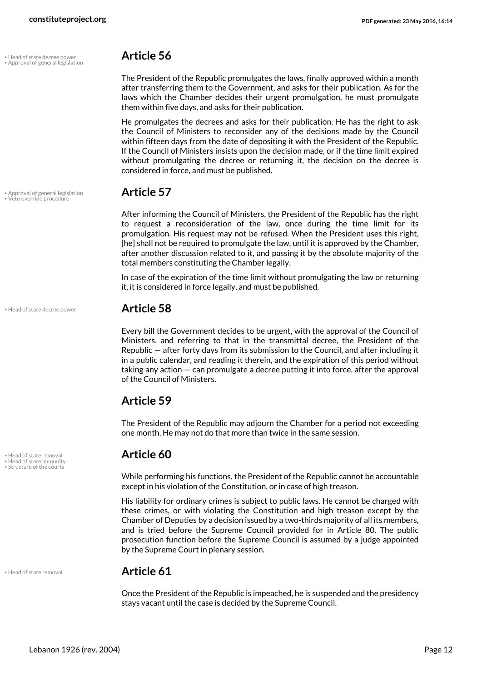• Head of state removal **Article 60** • Head of state immunity

### • Structure of the courts

The President of the Republic promulgates the laws, finally approved within a month after transferring them to the Government, and asks for their publication. As for the laws which the Chamber decides their urgent promulgation, he must promulgate them within five days, and asks for their publication.

He promulgates the decrees and asks for their publication. He has the right to ask the Council of Ministers to reconsider any of the decisions made by the Council within fifteen days from the date of depositing it with the President of the Republic. If the Council of Ministers insists upon the decision made, or if the time limit expired without promulgating the decree or returning it, the decision on the decree is considered in force, and must be published.

<span id="page-11-5"></span><span id="page-11-0"></span>After informing the Council of Ministers, the President of the Republic has the right to request a reconsideration of the law, once during the time limit for its promulgation. His request may not be refused. When the President uses this right, [he] shall not be required to promulgate the law, until it is approved by the Chamber, after another discussion related to it, and passing it by the absolute majority of the total members constituting the Chamber legally.

In case of the expiration of the time limit without promulgating the law or returning it, it is considered in force legally, and must be published.

### • Head of state decree power **Article 58**

<span id="page-11-1"></span>Every bill the Government decides to be urgent, with the approval of the Council of Ministers, and referring to that in the transmittal decree, the President of the Republic — after forty days from its submission to the Council, and after including it in a public calendar, and reading it therein, and the expiration of this period without taking any action — can promulgate a decree putting it into force, after the approval of the Council of Ministers.

### **Article 59**

The President of the Republic may adjourn the Chamber for a period not exceeding one month. He may not do that more than twice in the same session.

<span id="page-11-4"></span><span id="page-11-2"></span>While performing his functions, the President of the Republic cannot be accountable except in his violation of the Constitution, or in case of high treason.

His liability for ordinary crimes is subject to public laws. He cannot be charged with these crimes, or with violating the Constitution and high treason except by the Chamber of Deputies by a decision issued by a two-thirds majority of all its members, and is tried before the Supreme Council provided for in Article 80. The public prosecution function before the Supreme Council is assumed by a judge appointed by the Supreme Court in plenary session.

<span id="page-11-3"></span>

### • Head of state removal **Article 61**

Once the President of the Republic is impeached, he is suspended and the presidency stays vacant until the case is decided by the Supreme Council.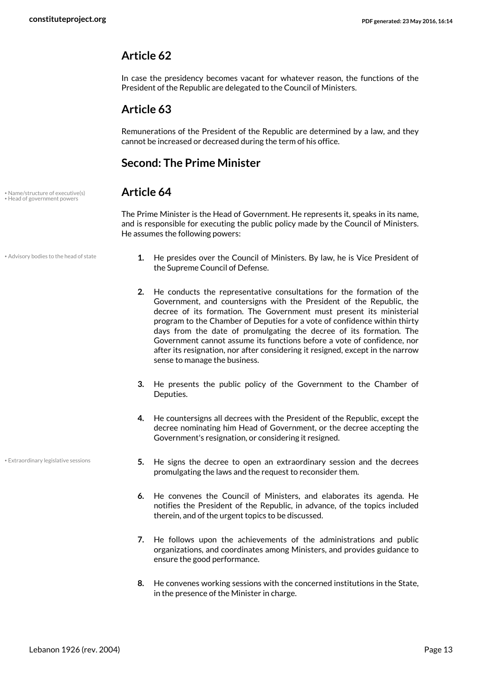In case the presidency becomes vacant for whatever reason, the functions of the President of the Republic are delegated to the Council of Ministers.

### **Article 63**

Remunerations of the President of the Republic are determined by a law, and they cannot be increased or decreased during the term of his office.

### <span id="page-12-0"></span>**Second: The Prime Minister**

# • Name/structure of executive(s) **Article 64** • Head of government powers

<span id="page-12-4"></span><span id="page-12-3"></span>The Prime Minister is the Head of Government. He represents it, speaks in its name, and is responsible for executing the public policy made by the Council of Ministers. He assumes the following powers:

- Advisory bodies to the head of state
- <span id="page-12-1"></span>**1.** He presides over the Council of Ministers. By law, he is Vice President of the Supreme Council of Defense.
- **2.** He conducts the representative consultations for the formation of the Government, and countersigns with the President of the Republic, the decree of its formation. The Government must present its ministerial program to the Chamber of Deputies for a vote of confidence within thirty days from the date of promulgating the decree of its formation. The Government cannot assume its functions before a vote of confidence, nor after its resignation, nor after considering it resigned, except in the narrow sense to manage the business.
- **3.** He presents the public policy of the Government to the Chamber of Deputies.
- **4.** He countersigns all decrees with the President of the Republic, except the decree nominating him Head of Government, or the decree accepting the Government's resignation, or considering it resigned.
- <span id="page-12-2"></span>**5.** He signs the decree to open an extraordinary session and the decrees promulgating the laws and the request to reconsider them.
- **6.** He convenes the Council of Ministers, and elaborates its agenda. He notifies the President of the Republic, in advance, of the topics included therein, and of the urgent topics to be discussed.
- **7.** He follows upon the achievements of the administrations and public organizations, and coordinates among Ministers, and provides guidance to ensure the good performance.
- **8.** He convenes working sessions with the concerned institutions in the State, in the presence of the Minister in charge.

• Extraordinary legislative sessions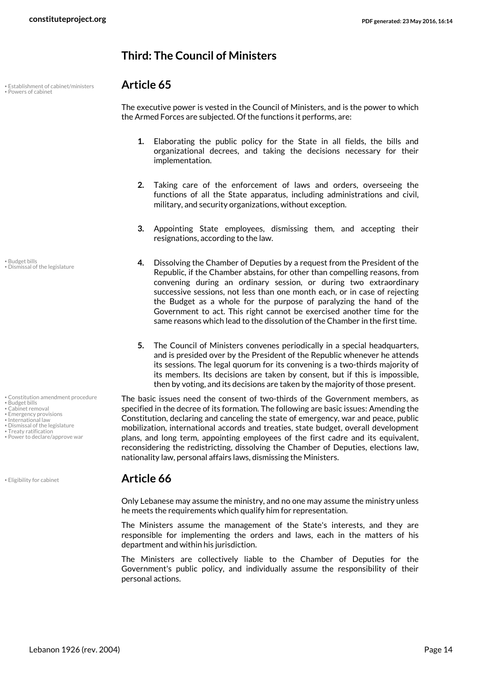### <span id="page-13-0"></span>**Third: The Council of Ministers**

# <span id="page-13-10"></span>• Establishment of cabinet/ministers **Article 65** • Powers of cabinet

<span id="page-13-7"></span>The executive power is vested in the Council of Ministers, and is the power to which the Armed Forces are subjected. Of the functions it performs, are:

- **1.** Elaborating the public policy for the State in all fields, the bills and organizational decrees, and taking the decisions necessary for their implementation.
- **2.** Taking care of the enforcement of laws and orders, overseeing the functions of all the State apparatus, including administrations and civil, military, and security organizations, without exception.
- **3.** Appointing State employees, dismissing them, and accepting their resignations, according to the law.
- **4.** Dissolving the Chamber of Deputies by a request from the President of the Republic, if the Chamber abstains, for other than compelling reasons, from convening during an ordinary session, or during two extraordinary successive sessions, not less than one month each, or in case of rejecting the Budget as a whole for the purpose of paralyzing the hand of the Government to act. This right cannot be exercised another time for the same reasons which lead to the dissolution of the Chamber in the first time.
- **5.** The Council of Ministers convenes periodically in a special headquarters, and is presided over by the President of the Republic whenever he attends its sessions. The legal quorum for its convening is a two-thirds majority of its members. Its decisions are taken by consent, but if this is impossible, then by voting, and its decisions are taken by the majority of those present.

<span id="page-13-9"></span><span id="page-13-4"></span><span id="page-13-3"></span>The basic issues need the consent of two-thirds of the Government members, as specified in the decree of its formation. The following are basic issues: Amending the Constitution, declaring and canceling the state of emergency, war and peace, public mobilization, international accords and treaties, state budget, overall development plans, and long term, appointing employees of the first cadre and its equivalent, reconsidering the redistricting, dissolving the Chamber of Deputies, elections law, nationality law, personal affairs laws, dismissing the Ministers.

<span id="page-13-5"></span>

<span id="page-13-11"></span><span id="page-13-8"></span><span id="page-13-6"></span>• Emergency provisions • International law • Dismissal of the legislature • Treaty ratification • Power to declare/approve war

• Constitution amendment procedure

• Budget bills

<span id="page-13-2"></span><span id="page-13-1"></span>• Budget bills • Cabinet removal

• Dismissal of the legislature

### • Eligibility for cabinet **Article 66**

Only Lebanese may assume the ministry, and no one may assume the ministry unless he meets the requirements which qualify him for representation.

The Ministers assume the management of the State's interests, and they are responsible for implementing the orders and laws, each in the matters of his department and within his jurisdiction.

The Ministers are collectively liable to the Chamber of Deputies for the Government's public policy, and individually assume the responsibility of their personal actions.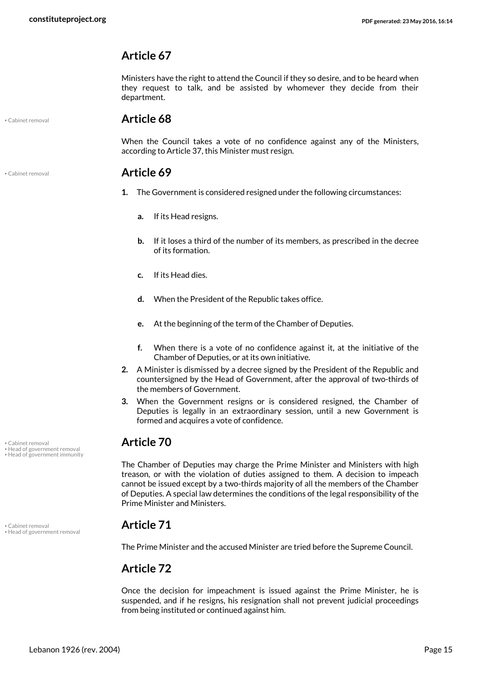Ministers have the right to attend the Council if they so desire, and to be heard when they request to talk, and be assisted by whomever they decide from their department.

### • Cabinet removal **Article 68**

When the Council takes a vote of no confidence against any of the Ministers, according to Article 37, this Minister must resign.

### • Cabinet removal **Article 69**

- **1.** The Government is considered resigned under the following circumstances:
	- **a.** If its Head resigns.
	- **b.** If it loses a third of the number of its members, as prescribed in the decree of its formation.
	- **c.** If its Head dies.
	- **d.** When the President of the Republic takes office.
	- **e.** At the beginning of the term of the Chamber of Deputies.
	- **f.** When there is a vote of no confidence against it, at the initiative of the Chamber of Deputies, or at its own initiative.
- **2.** A Minister is dismissed by a decree signed by the President of the Republic and countersigned by the Head of Government, after the approval of two-thirds of the members of Government.
- **3.** When the Government resigns or is considered resigned, the Chamber of Deputies is legally in an extraordinary session, until a new Government is formed and acquires a vote of confidence.

<span id="page-14-1"></span>The Chamber of Deputies may charge the Prime Minister and Ministers with high treason, or with the violation of duties assigned to them. A decision to impeach cannot be issued except by a two-thirds majority of all the members of the Chamber of Deputies. A special law determines the conditions of the legal responsibility of the Prime Minister and Ministers.

<span id="page-14-2"></span>The Prime Minister and the accused Minister are tried before the Supreme Council.

### **Article 72**

Once the decision for impeachment is issued against the Prime Minister, he is suspended, and if he resigns, his resignation shall not prevent judicial proceedings from being instituted or continued against him.

• Cabinet removal **Article 70** • Head of government removal • Head of government immunity

<span id="page-14-0"></span>• Cabinet removal **Article 71** • Head of government removal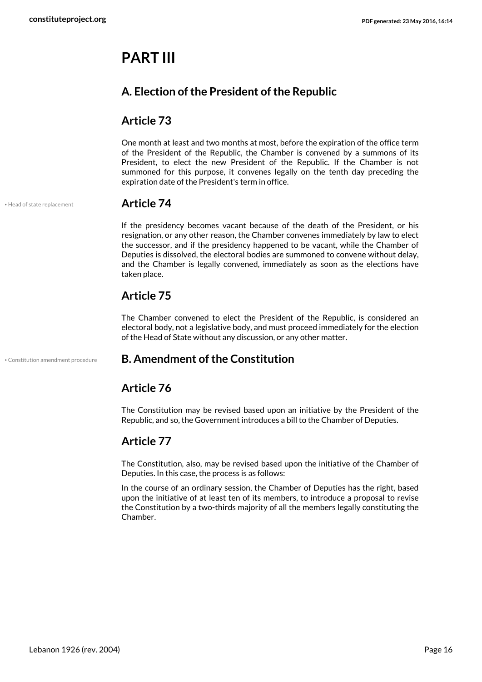# <span id="page-15-0"></span>**PART III**

### <span id="page-15-1"></span>**A. Election of the President of the Republic**

### **Article 73**

One month at least and two months at most, before the expiration of the office term of the President of the Republic, the Chamber is convened by a summons of its President, to elect the new President of the Republic. If the Chamber is not summoned for this purpose, it convenes legally on the tenth day preceding the expiration date of the President's term in office.

### • Head of state replacement **Article 74**

<span id="page-15-4"></span>If the presidency becomes vacant because of the death of the President, or his resignation, or any other reason, the Chamber convenes immediately by law to elect the successor, and if the presidency happened to be vacant, while the Chamber of Deputies is dissolved, the electoral bodies are summoned to convene without delay, and the Chamber is legally convened, immediately as soon as the elections have taken place.

### **Article 75**

The Chamber convened to elect the President of the Republic, is considered an electoral body, not a legislative body, and must proceed immediately for the election of the Head of State without any discussion, or any other matter.

### • Constitution amendment procedure **B. Amendment of the Constitution**

### <span id="page-15-3"></span><span id="page-15-2"></span>**Article 76**

The Constitution may be revised based upon an initiative by the President of the Republic, and so, the Government introduces a bill to the Chamber of Deputies.

### **Article 77**

The Constitution, also, may be revised based upon the initiative of the Chamber of Deputies. In this case, the process is as follows:

In the course of an ordinary session, the Chamber of Deputies has the right, based upon the initiative of at least ten of its members, to introduce a proposal to revise the Constitution by a two-thirds majority of all the members legally constituting the Chamber.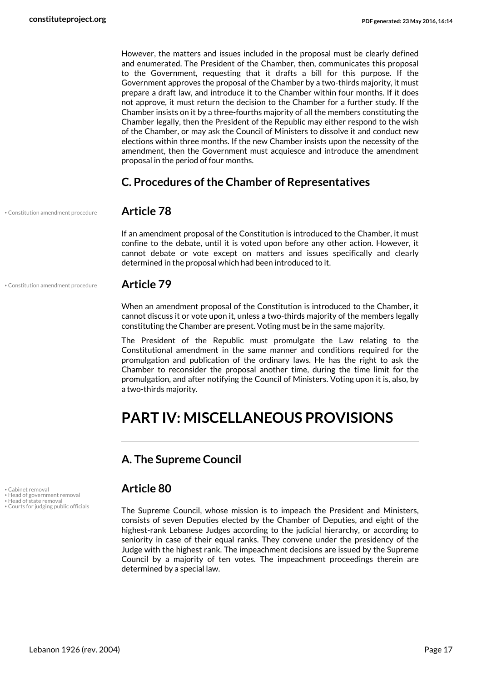However, the matters and issues included in the proposal must be clearly defined and enumerated. The President of the Chamber, then, communicates this proposal to the Government, requesting that it drafts a bill for this purpose. If the Government approves the proposal of the Chamber by a two-thirds majority, it must prepare a draft law, and introduce it to the Chamber within four months. If it does not approve, it must return the decision to the Chamber for a further study. If the Chamber insists on it by a three-fourths majority of all the members constituting the Chamber legally, then the President of the Republic may either respond to the wish of the Chamber, or may ask the Council of Ministers to dissolve it and conduct new elections within three months. If the new Chamber insists upon the necessity of the amendment, then the Government must acquiesce and introduce the amendment proposal in the period of four months.

### <span id="page-16-0"></span>**C. Procedures of the Chamber of Representatives**

• Constitution amendment procedure **Article 78**

If an amendment proposal of the Constitution is introduced to the Chamber, it must confine to the debate, until it is voted upon before any other action. However, it cannot debate or vote except on matters and issues specifically and clearly determined in the proposal which had been introduced to it.

<span id="page-16-4"></span>When an amendment proposal of the Constitution is introduced to the Chamber, it cannot discuss it or vote upon it, unless a two-thirds majority of the members legally

The President of the Republic must promulgate the Law relating to the Constitutional amendment in the same manner and conditions required for the promulgation and publication of the ordinary laws. He has the right to ask the Chamber to reconsider the proposal another time, during the time limit for the promulgation, and after notifying the Council of Ministers. Voting upon it is, also, by

constituting the Chamber are present. Voting must be in the same majority.

**PART IV: MISCELLANEOUS PROVISIONS**

• Constitution amendment procedure **Article 79**

<span id="page-16-6"></span><span id="page-16-5"></span><span id="page-16-2"></span>**A. The Supreme Council**

# • Cabinet removal **Article 80** • Head of government removal • Head of state removal

<span id="page-16-1"></span>a two-thirds majority.

• Courts for judging public officials The Supreme Council, whose mission is to impeach the President and Ministers, consists of seven Deputies elected by the Chamber of Deputies, and eight of the highest-rank Lebanese Judges according to the judicial hierarchy, or according to seniority in case of their equal ranks. They convene under the presidency of the Judge with the highest rank. The impeachment decisions are issued by the Supreme Council by a majority of ten votes. The impeachment proceedings therein are determined by a special law.

<span id="page-16-3"></span>

<span id="page-16-7"></span>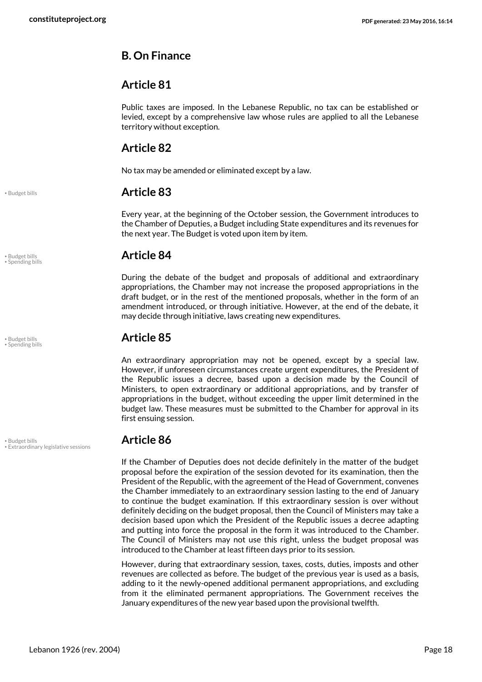### <span id="page-17-0"></span>**B. On Finance**

### **Article 81**

Public taxes are imposed. In the Lebanese Republic, no tax can be established or levied, except by a comprehensive law whose rules are applied to all the Lebanese territory without exception.

### **Article 82**

No tax may be amended or eliminated except by a law.

### • Budget bills **Article 83**

Every year, at the beginning of the October session, the Government introduces to the Chamber of Deputies, a Budget including State expenditures and its revenues for the next year. The Budget is voted upon item by item.

# • Budget bills **Article 84** • Spending bills

During the debate of the budget and proposals of additional and extraordinary appropriations, the Chamber may not increase the proposed appropriations in the draft budget, or in the rest of the mentioned proposals, whether in the form of an amendment introduced, or through initiative. However, at the end of the debate, it may decide through initiative, laws creating new expenditures.

# • Budget bills **Article 85** • Spending bills

An extraordinary appropriation may not be opened, except by a special law. However, if unforeseen circumstances create urgent expenditures, the President of the Republic issues a decree, based upon a decision made by the Council of Ministers, to open extraordinary or additional appropriations, and by transfer of appropriations in the budget, without exceeding the upper limit determined in the budget law. These measures must be submitted to the Chamber for approval in its first ensuing session.

<span id="page-17-2"></span>If the Chamber of Deputies does not decide definitely in the matter of the budget proposal before the expiration of the session devoted for its examination, then the President of the Republic, with the agreement of the Head of Government, convenes the Chamber immediately to an extraordinary session lasting to the end of January to continue the budget examination. If this extraordinary session is over without definitely deciding on the budget proposal, then the Council of Ministers may take a decision based upon which the President of the Republic issues a decree adapting and putting into force the proposal in the form it was introduced to the Chamber. The Council of Ministers may not use this right, unless the budget proposal was introduced to the Chamber at least fifteen days prior to its session.

However, during that extraordinary session, taxes, costs, duties, imposts and other revenues are collected as before. The budget of the previous year is used as a basis, adding to it the newly-opened additional permanent appropriations, and excluding from it the eliminated permanent appropriations. The Government receives the January expenditures of the new year based upon the provisional twelfth.

<span id="page-17-3"></span>

<span id="page-17-1"></span>• Budget bills **Article 86** • Extraordinary legislative sessions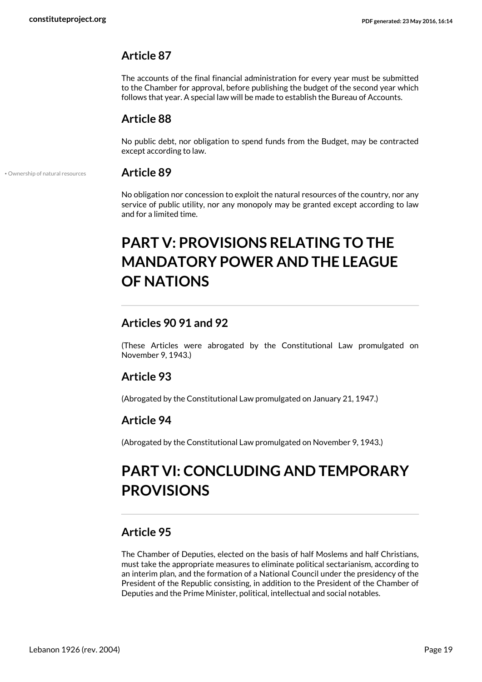The accounts of the final financial administration for every year must be submitted to the Chamber for approval, before publishing the budget of the second year which follows that year. A special law will be made to establish the Bureau of Accounts.

### **Article 88**

No public debt, nor obligation to spend funds from the Budget, may be contracted except according to law.

• Ownership of natural resources **Article 89**

<span id="page-18-2"></span>No obligation nor concession to exploit the natural resources of the country, nor any service of public utility, nor any monopoly may be granted except according to law and for a limited time.

# <span id="page-18-0"></span>**PART V: PROVISIONS RELATING TO THE MANDATORY POWER AND THE LEAGUE OF NATIONS**

### **Articles 90 91 and 92**

(These Articles were abrogated by the Constitutional Law promulgated on November 9, 1943.)

### **Article 93**

(Abrogated by the Constitutional Law promulgated on January 21, 1947.)

### **Article 94**

(Abrogated by the Constitutional Law promulgated on November 9, 1943.)

# <span id="page-18-1"></span>**PART VI: CONCLUDING AND TEMPORARY PROVISIONS**

### **Article 95**

The Chamber of Deputies, elected on the basis of half Moslems and half Christians, must take the appropriate measures to eliminate political sectarianism, according to an interim plan, and the formation of a National Council under the presidency of the President of the Republic consisting, in addition to the President of the Chamber of Deputies and the Prime Minister, political, intellectual and social notables.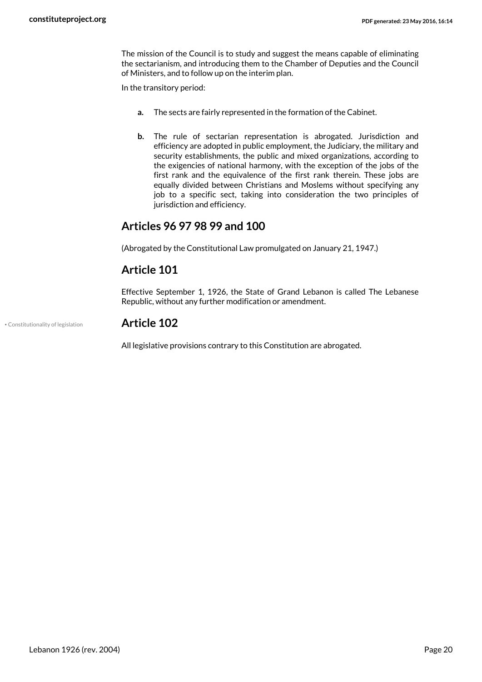The mission of the Council is to study and suggest the means capable of eliminating the sectarianism, and introducing them to the Chamber of Deputies and the Council of Ministers, and to follow up on the interim plan.

In the transitory period:

- **a.** The sects are fairly represented in the formation of the Cabinet.
- **b.** The rule of sectarian representation is abrogated. Jurisdiction and efficiency are adopted in public employment, the Judiciary, the military and security establishments, the public and mixed organizations, according to the exigencies of national harmony, with the exception of the jobs of the first rank and the equivalence of the first rank therein. These jobs are equally divided between Christians and Moslems without specifying any job to a specific sect, taking into consideration the two principles of jurisdiction and efficiency.

### **Articles 96 97 98 99 and 100**

(Abrogated by the Constitutional Law promulgated on January 21, 1947.)

### **Article 101**

Effective September 1, 1926, the State of Grand Lebanon is called The Lebanese Republic, without any further modification or amendment.

• Constitutionality of legislation **Article 102**

<span id="page-19-0"></span>All legislative provisions contrary to this Constitution are abrogated.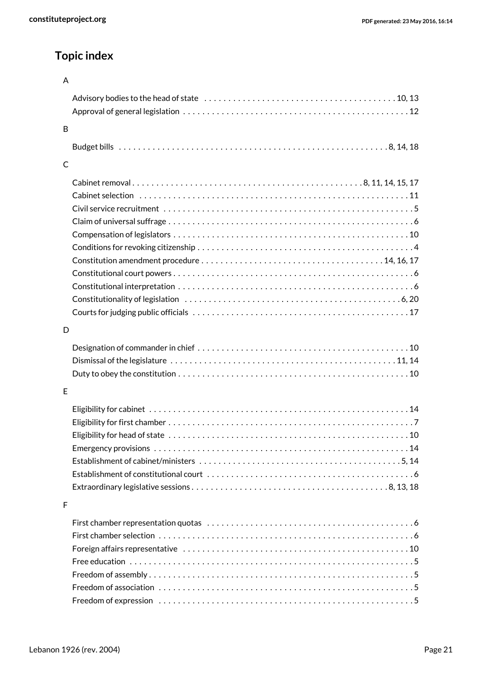### **Topic index**

### A Advisory bodies to the head of state  $\dots\dots\dots\dots\dots\dots\dots\dots\dots\dots\dots\dots\dots\dots\dots\dots$  . [10,](#page-9-2) [13](#page-12-1) Approval of general legislation . . . . . . . . . . . . . . . . . . . . . . . . . . . . . . . . . . . . . . . . . . . . . . . [12](#page-11-0) B Budget bills . . . . . . . . . . . . . . . . . . . . . . . . . . . . . . . . . . . . . . . . . . . . . . . . . . . . . . . . [8,](#page-7-0) [14,](#page-13-1) [18](#page-17-1) C Cabinet removal . . . . . . . . . . . . . . . . . . . . . . . . . . . . . . . . . . . . . . . . . . . . . . . . [8,](#page-7-1) [11](#page-10-0), [14,](#page-13-2) [15,](#page-14-0) [17](#page-16-3) Cabinet selection . . . . . . . . . . . . . . . . . . . . . . . . . . . . . . . . . . . . . . . . . . . . . . . . . . . . . . . . [11](#page-10-1) Civil service recruitment . . . . . . . . . . . . . . . . . . . . . . . . . . . . . . . . . . . . . . . . . . . . . . . . . . . . [5](#page-4-2) Claim of universal suffrage . . . . . . . . . . . . . . . . . . . . . . . . . . . . . . . . . . . . . . . . . . . . . . . . . . . [6](#page-5-1) Compensation of legislators . . . . . . . . . . . . . . . . . . . . . . . . . . . . . . . . . . . . . . . . . . . . . . . . . [10](#page-9-3) Conditions for revoking citizenship . . . . . . . . . . . . . . . . . . . . . . . . . . . . . . . . . . . . . . . . . . . . . [4](#page-3-1) Constitution amendment procedure . . . . . . . . . . . . . . . . . . . . . . . . . . . . . . . . . . . . . . [14,](#page-13-3) [16,](#page-15-3) [17](#page-16-4) Constitutional court powers . . . . . . . . . . . . . . . . . . . . . . . . . . . . . . . . . . . . . . . . . . . . . . . . . . [6](#page-5-2) Constitutional interpretation . . . . . . . . . . . . . . . . . . . . . . . . . . . . . . . . . . . . . . . . . . . . . . . . . [6](#page-5-3) Constitutionality of legislation . . . . . . . . . . . . . . . . . . . . . . . . . . . . . . . . . . . . . . . . . . . . . [6,](#page-5-4) [20](#page-19-0) Courts for judging public officials . . . . . . . . . . . . . . . . . . . . . . . . . . . . . . . . . . . . . . . . . . . . . [17](#page-16-5) D Designation of commander in chief . . . . . . . . . . . . . . . . . . . . . . . . . . . . . . . . . . . . . . . . . . . . [10](#page-9-4) Dismissal of the legislature . . . . . . . . . . . . . . . . . . . . . . . . . . . . . . . . . . . . . . . . . . . . . . . [11,](#page-10-2) [14](#page-13-4) Duty to obey the constitution . . . . . . . . . . . . . . . . . . . . . . . . . . . . . . . . . . . . . . . . . . . . . . . . [10](#page-9-5) E Eligibility for cabinet . . . . . . . . . . . . . . . . . . . . . . . . . . . . . . . . . . . . . . . . . . . . . . . . . . . . . . [14](#page-13-5) Eligibility for first chamber . . . . . . . . . . . . . . . . . . . . . . . . . . . . . . . . . . . . . . . . . . . . . . . . . . . [7](#page-6-1) Eligibility for head of state . . . . . . . . . . . . . . . . . . . . . . . . . . . . . . . . . . . . . . . . . . . . . . . . . . [10](#page-9-6) Emergency provisions . . . . . . . . . . . . . . . . . . . . . . . . . . . . . . . . . . . . . . . . . . . . . . . . . . . . . [14](#page-13-6) Establishment of cabinet/ministers . . . . . . . . . . . . . . . . . . . . . . . . . . . . . . . . . . . . . . . . . . [5,](#page-4-3) [14](#page-13-7) Establishment of constitutional court . . . . . . . . . . . . . . . . . . . . . . . . . . . . . . . . . . . . . . . . . . . [6](#page-5-5)

### F

Extraordinary legislative sessions . . . . . . . . . . . . . . . . . . . . . . . . . . . . . . . . . . . . . . . . . [8,](#page-7-2) [13,](#page-12-2) [18](#page-17-2)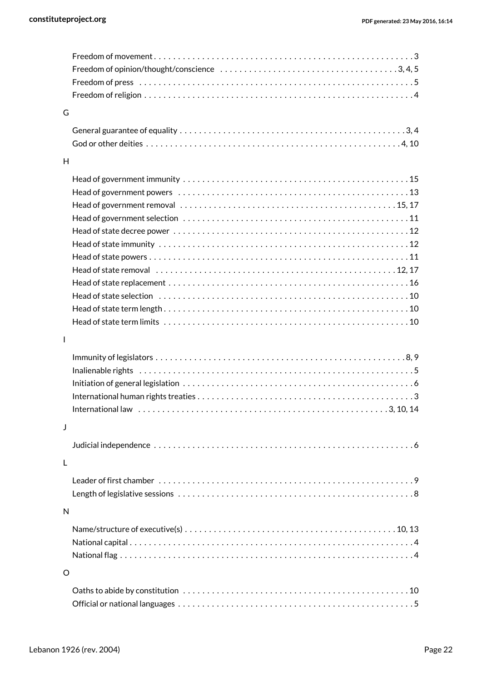| G            |                                                                                                                |
|--------------|----------------------------------------------------------------------------------------------------------------|
|              |                                                                                                                |
|              |                                                                                                                |
|              |                                                                                                                |
| H            |                                                                                                                |
|              |                                                                                                                |
|              |                                                                                                                |
|              |                                                                                                                |
|              |                                                                                                                |
|              |                                                                                                                |
|              |                                                                                                                |
|              |                                                                                                                |
|              | Head of state removal $\dots\dots\dots\dots\dots\dots\dots\dots\dots\dots\dots\dots\dots\dots\dots\dots$       |
|              |                                                                                                                |
|              | Head of state selection ………………………………………………………………………10                                                          |
|              |                                                                                                                |
|              |                                                                                                                |
| $\mathbf{I}$ |                                                                                                                |
|              |                                                                                                                |
|              | Inalienable rights (all contains and contained all contained all contained all contained all contains a set of |
|              |                                                                                                                |
|              |                                                                                                                |
|              |                                                                                                                |
|              |                                                                                                                |
| J            |                                                                                                                |
|              |                                                                                                                |
| L            |                                                                                                                |
|              |                                                                                                                |
|              |                                                                                                                |
|              |                                                                                                                |
| N            |                                                                                                                |
|              |                                                                                                                |
|              |                                                                                                                |
|              |                                                                                                                |
| $\circ$      |                                                                                                                |
|              |                                                                                                                |
|              |                                                                                                                |
|              |                                                                                                                |